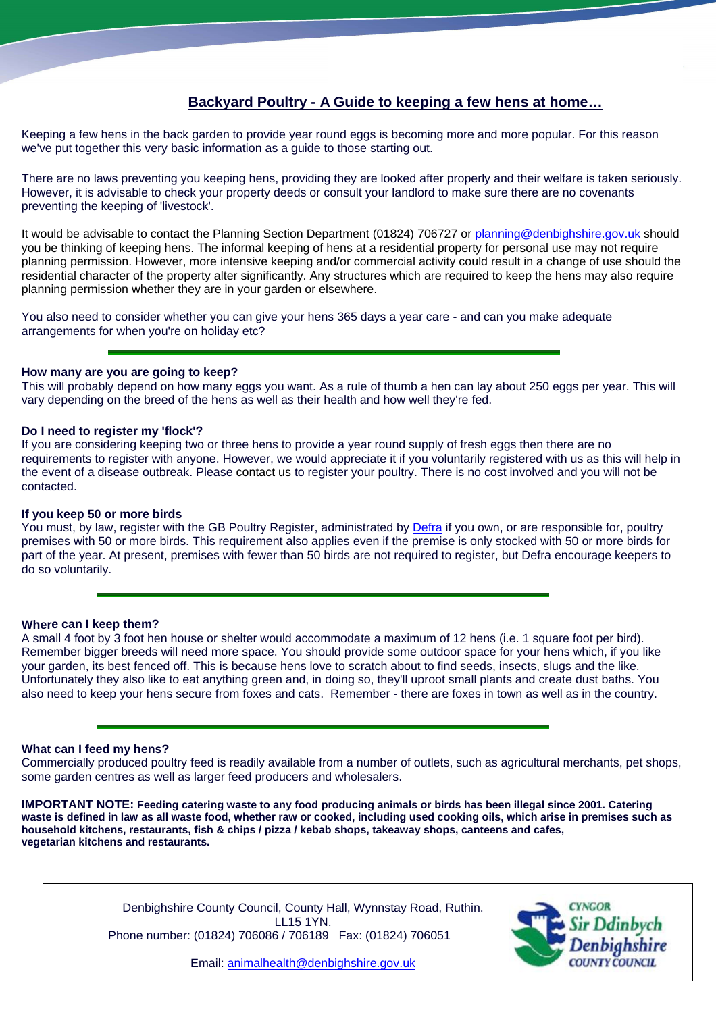# **Backyard Poultry - A Guide to keeping a few hens at home…**

Keeping a few hens in the back garden to provide year round eggs is becoming more and more popular. For this reason we've put together this very basic information as a guide to those starting out.

There are no laws preventing you keeping hens, providing they are looked after properly and their welfare is taken seriously. However, it is advisable to check your property deeds or consult your landlord to make sure there are no covenants preventing the keeping of 'livestock'.

It would be advisable to contact the Planning Section Department (01824) 706727 or [planning@denbighshire.gov.uk](mailto:planning@denbighshire.gov.uk) should you be thinking of keeping hens. The informal keeping of hens at a residential property for personal use may not require planning permission. However, more intensive keeping and/or commercial activity could result in a change of use should the residential character of the property alter significantly. Any structures which are required to keep the hens may also require planning permission whether they are in your garden or elsewhere.

You also need to consider whether you can give your hens 365 days a year care - and can you make adequate arrangements for when you're on holiday etc?

## **How many are you are going to keep?**

This will probably depend on how many eggs you want. As a rule of thumb a hen can lay about 250 eggs per year. This will vary depending on the breed of the hens as well as their health and how well they're fed.

## **Do I need to register my 'flock'?**

If you are considering keeping two or three hens to provide a year round supply of fresh eggs then there are no requirements to register with anyone. However, we would appreciate it if you voluntarily registered with us as this will help in the event of a disease outbreak. Please contact us to register your poultry. There is no cost involved and you will not be contacted.

#### **If you keep 50 or more birds**

You must, by law, register with the GB Poultry Register, administrated by [Defra](http://www.defra.gov.uk/) if you own, or are responsible for, poultry premises with 50 or more birds. This requirement also applies even if the premise is only stocked with 50 or more birds for part of the year. At present, premises with fewer than 50 birds are not required to register, but Defra encourage keepers to do so voluntarily.

## **Where can I keep them?**

A small 4 foot by 3 foot hen house or shelter would accommodate a maximum of 12 hens (i.e. 1 square foot per bird). Remember bigger breeds will need more space. You should provide some outdoor space for your hens which, if you like your garden, its best fenced off. This is because hens love to scratch about to find seeds, insects, slugs and the like. Unfortunately they also like to eat anything green and, in doing so, they'll uproot small plants and create dust baths. You also need to keep your hens secure from foxes and cats. Remember - there are foxes in town as well as in the country.

#### **What can I feed my hens?**

Commercially produced poultry feed is readily available from a number of outlets, such as agricultural merchants, pet shops, some garden centres as well as larger feed producers and wholesalers.

**IMPORTANT NOTE: Feeding catering waste to any food producing animals or birds has been illegal since 2001. Catering waste is defined in law as all waste food, whether raw or cooked, including used cooking oils, which arise in premises such as household kitchens, restaurants, fish & chips / pizza / kebab shops, takeaway shops, canteens and cafes, vegetarian kitchens and restaurants.** 

> Denbighshire County Council, County Hall, Wynnstay Road, Ruthin. LL15 1YN. Phone number: (01824) 706086 / 706189 Fax: (01824) 706051



Email: [animalhealth@denbighshire.gov.uk](mailto:animalhealth@denbighshire.gov.uk)